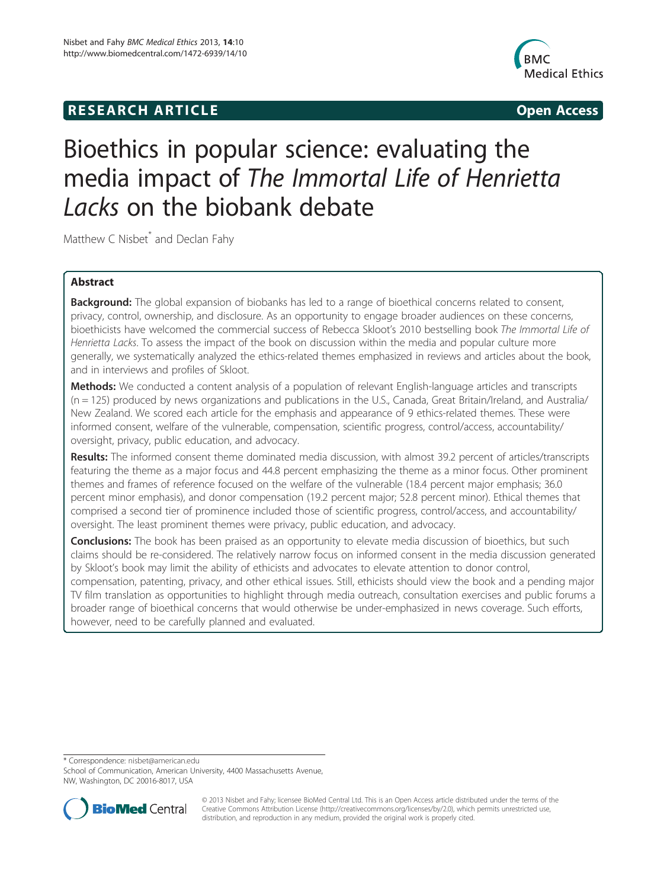## **RESEARCH ARTICLE CONSUMING THE OPEN ACCESS**



# Bioethics in popular science: evaluating the media impact of The Immortal Life of Henrietta Lacks on the biobank debate

Matthew C Nisbet<sup>\*</sup> and Declan Fahy

## Abstract

Background: The global expansion of biobanks has led to a range of bioethical concerns related to consent, privacy, control, ownership, and disclosure. As an opportunity to engage broader audiences on these concerns, bioethicists have welcomed the commercial success of Rebecca Skloot's 2010 bestselling book The Immortal Life of Henrietta Lacks. To assess the impact of the book on discussion within the media and popular culture more generally, we systematically analyzed the ethics-related themes emphasized in reviews and articles about the book, and in interviews and profiles of Skloot.

Methods: We conducted a content analysis of a population of relevant English-language articles and transcripts  $(n = 125)$  produced by news organizations and publications in the U.S., Canada, Great Britain/Ireland, and Australia/ New Zealand. We scored each article for the emphasis and appearance of 9 ethics-related themes. These were informed consent, welfare of the vulnerable, compensation, scientific progress, control/access, accountability/ oversight, privacy, public education, and advocacy.

Results: The informed consent theme dominated media discussion, with almost 39.2 percent of articles/transcripts featuring the theme as a major focus and 44.8 percent emphasizing the theme as a minor focus. Other prominent themes and frames of reference focused on the welfare of the vulnerable (18.4 percent major emphasis; 36.0 percent minor emphasis), and donor compensation (19.2 percent major; 52.8 percent minor). Ethical themes that comprised a second tier of prominence included those of scientific progress, control/access, and accountability/ oversight. The least prominent themes were privacy, public education, and advocacy.

**Conclusions:** The book has been praised as an opportunity to elevate media discussion of bioethics, but such claims should be re-considered. The relatively narrow focus on informed consent in the media discussion generated by Skloot's book may limit the ability of ethicists and advocates to elevate attention to donor control, compensation, patenting, privacy, and other ethical issues. Still, ethicists should view the book and a pending major TV film translation as opportunities to highlight through media outreach, consultation exercises and public forums a broader range of bioethical concerns that would otherwise be under-emphasized in news coverage. Such efforts, however, need to be carefully planned and evaluated.

\* Correspondence: [nisbet@american.edu](mailto:nisbet@american.edu)

School of Communication, American University, 4400 Massachusetts Avenue, NW, Washington, DC 20016-8017, USA



© 2013 Nisbet and Fahy; licensee BioMed Central Ltd. This is an Open Access article distributed under the terms of the Creative Commons Attribution License (<http://creativecommons.org/licenses/by/2.0>), which permits unrestricted use, distribution, and reproduction in any medium, provided the original work is properly cited.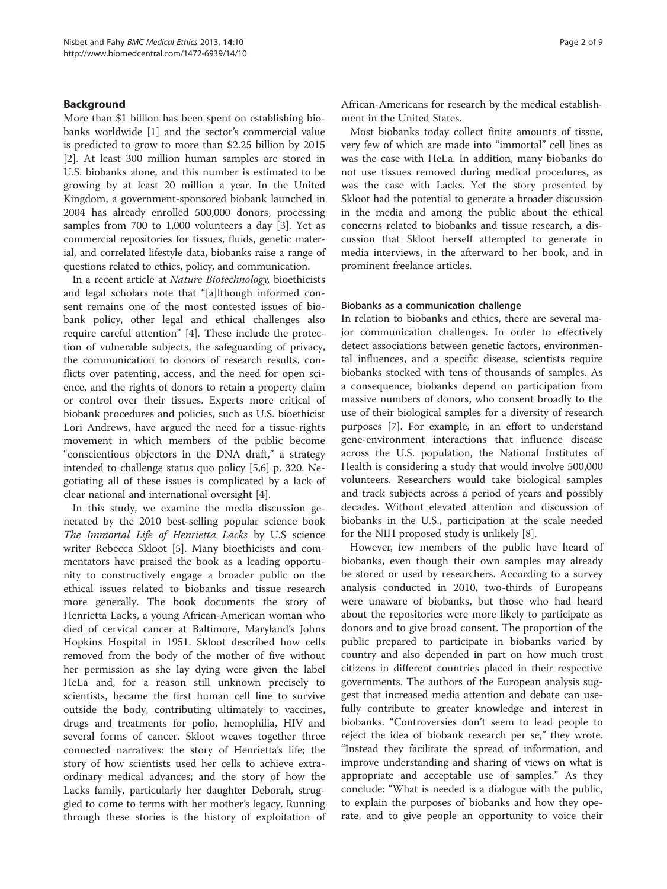## Background

More than \$1 billion has been spent on establishing biobanks worldwide [\[1](#page-7-0)] and the sector's commercial value is predicted to grow to more than \$2.25 billion by 2015 [[2\]](#page-7-0). At least 300 million human samples are stored in U.S. biobanks alone, and this number is estimated to be growing by at least 20 million a year. In the United Kingdom, a government-sponsored biobank launched in 2004 has already enrolled 500,000 donors, processing samples from 700 to 1,000 volunteers a day [\[3](#page-7-0)]. Yet as commercial repositories for tissues, fluids, genetic material, and correlated lifestyle data, biobanks raise a range of questions related to ethics, policy, and communication.

In a recent article at Nature Biotechnology, bioethicists and legal scholars note that "[a]lthough informed consent remains one of the most contested issues of biobank policy, other legal and ethical challenges also require careful attention" [[4](#page-7-0)]. These include the protection of vulnerable subjects, the safeguarding of privacy, the communication to donors of research results, conflicts over patenting, access, and the need for open science, and the rights of donors to retain a property claim or control over their tissues. Experts more critical of biobank procedures and policies, such as U.S. bioethicist Lori Andrews, have argued the need for a tissue-rights movement in which members of the public become "conscientious objectors in the DNA draft," a strategy intended to challenge status quo policy [[5,6\]](#page-7-0) p. 320. Negotiating all of these issues is complicated by a lack of clear national and international oversight [[4](#page-7-0)].

In this study, we examine the media discussion generated by the 2010 best-selling popular science book The Immortal Life of Henrietta Lacks by U.S science writer Rebecca Skloot [[5\]](#page-7-0). Many bioethicists and commentators have praised the book as a leading opportunity to constructively engage a broader public on the ethical issues related to biobanks and tissue research more generally. The book documents the story of Henrietta Lacks, a young African-American woman who died of cervical cancer at Baltimore, Maryland's Johns Hopkins Hospital in 1951. Skloot described how cells removed from the body of the mother of five without her permission as she lay dying were given the label HeLa and, for a reason still unknown precisely to scientists, became the first human cell line to survive outside the body, contributing ultimately to vaccines, drugs and treatments for polio, hemophilia, HIV and several forms of cancer. Skloot weaves together three connected narratives: the story of Henrietta's life; the story of how scientists used her cells to achieve extraordinary medical advances; and the story of how the Lacks family, particularly her daughter Deborah, struggled to come to terms with her mother's legacy. Running through these stories is the history of exploitation of African-Americans for research by the medical establishment in the United States.

Most biobanks today collect finite amounts of tissue, very few of which are made into "immortal" cell lines as was the case with HeLa. In addition, many biobanks do not use tissues removed during medical procedures, as was the case with Lacks. Yet the story presented by Skloot had the potential to generate a broader discussion in the media and among the public about the ethical concerns related to biobanks and tissue research, a discussion that Skloot herself attempted to generate in media interviews, in the afterward to her book, and in prominent freelance articles.

#### Biobanks as a communication challenge

In relation to biobanks and ethics, there are several major communication challenges. In order to effectively detect associations between genetic factors, environmental influences, and a specific disease, scientists require biobanks stocked with tens of thousands of samples. As a consequence, biobanks depend on participation from massive numbers of donors, who consent broadly to the use of their biological samples for a diversity of research purposes [\[7](#page-7-0)]. For example, in an effort to understand gene-environment interactions that influence disease across the U.S. population, the National Institutes of Health is considering a study that would involve 500,000 volunteers. Researchers would take biological samples and track subjects across a period of years and possibly decades. Without elevated attention and discussion of biobanks in the U.S., participation at the scale needed for the NIH proposed study is unlikely [\[8](#page-7-0)].

However, few members of the public have heard of biobanks, even though their own samples may already be stored or used by researchers. According to a survey analysis conducted in 2010, two-thirds of Europeans were unaware of biobanks, but those who had heard about the repositories were more likely to participate as donors and to give broad consent. The proportion of the public prepared to participate in biobanks varied by country and also depended in part on how much trust citizens in different countries placed in their respective governments. The authors of the European analysis suggest that increased media attention and debate can usefully contribute to greater knowledge and interest in biobanks. "Controversies don't seem to lead people to reject the idea of biobank research per se," they wrote. "Instead they facilitate the spread of information, and improve understanding and sharing of views on what is appropriate and acceptable use of samples." As they conclude: "What is needed is a dialogue with the public, to explain the purposes of biobanks and how they operate, and to give people an opportunity to voice their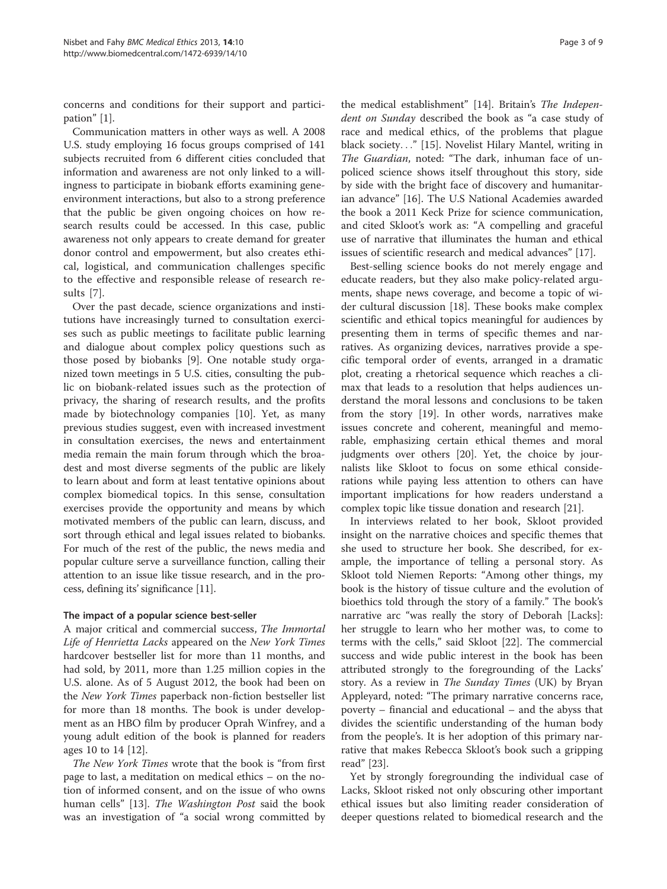concerns and conditions for their support and participation" [\[1](#page-7-0)].

Communication matters in other ways as well. A 2008 U.S. study employing 16 focus groups comprised of 141 subjects recruited from 6 different cities concluded that information and awareness are not only linked to a willingness to participate in biobank efforts examining geneenvironment interactions, but also to a strong preference that the public be given ongoing choices on how research results could be accessed. In this case, public awareness not only appears to create demand for greater donor control and empowerment, but also creates ethical, logistical, and communication challenges specific to the effective and responsible release of research results [[7](#page-7-0)].

Over the past decade, science organizations and institutions have increasingly turned to consultation exercises such as public meetings to facilitate public learning and dialogue about complex policy questions such as those posed by biobanks [\[9](#page-7-0)]. One notable study organized town meetings in 5 U.S. cities, consulting the public on biobank-related issues such as the protection of privacy, the sharing of research results, and the profits made by biotechnology companies [\[10](#page-7-0)]. Yet, as many previous studies suggest, even with increased investment in consultation exercises, the news and entertainment media remain the main forum through which the broadest and most diverse segments of the public are likely to learn about and form at least tentative opinions about complex biomedical topics. In this sense, consultation exercises provide the opportunity and means by which motivated members of the public can learn, discuss, and sort through ethical and legal issues related to biobanks. For much of the rest of the public, the news media and popular culture serve a surveillance function, calling their attention to an issue like tissue research, and in the process, defining its' significance [\[11\]](#page-7-0).

## The impact of a popular science best-seller

A major critical and commercial success, The Immortal Life of Henrietta Lacks appeared on the New York Times hardcover bestseller list for more than 11 months, and had sold, by 2011, more than 1.25 million copies in the U.S. alone. As of 5 August 2012, the book had been on the New York Times paperback non-fiction bestseller list for more than 18 months. The book is under development as an HBO film by producer Oprah Winfrey, and a young adult edition of the book is planned for readers ages 10 to 14 [[12\]](#page-7-0).

The New York Times wrote that the book is "from first page to last, a meditation on medical ethics – on the notion of informed consent, and on the issue of who owns human cells" [[13](#page-7-0)]. The Washington Post said the book was an investigation of "a social wrong committed by

the medical establishment" [\[14\]](#page-7-0). Britain's The Independent on Sunday described the book as "a case study of race and medical ethics, of the problems that plague black society..." [\[15\]](#page-7-0). Novelist Hilary Mantel, writing in The Guardian, noted: "The dark, inhuman face of unpoliced science shows itself throughout this story, side by side with the bright face of discovery and humanitarian advance" [\[16\]](#page-7-0). The U.S National Academies awarded the book a 2011 Keck Prize for science communication, and cited Skloot's work as: "A compelling and graceful use of narrative that illuminates the human and ethical issues of scientific research and medical advances" [\[17\]](#page-7-0).

Best-selling science books do not merely engage and educate readers, but they also make policy-related arguments, shape news coverage, and become a topic of wider cultural discussion [[18\]](#page-8-0). These books make complex scientific and ethical topics meaningful for audiences by presenting them in terms of specific themes and narratives. As organizing devices, narratives provide a specific temporal order of events, arranged in a dramatic plot, creating a rhetorical sequence which reaches a climax that leads to a resolution that helps audiences understand the moral lessons and conclusions to be taken from the story [\[19\]](#page-8-0). In other words, narratives make issues concrete and coherent, meaningful and memorable, emphasizing certain ethical themes and moral judgments over others [[20](#page-8-0)]. Yet, the choice by journalists like Skloot to focus on some ethical considerations while paying less attention to others can have important implications for how readers understand a complex topic like tissue donation and research [\[21](#page-8-0)].

In interviews related to her book, Skloot provided insight on the narrative choices and specific themes that she used to structure her book. She described, for example, the importance of telling a personal story. As Skloot told Niemen Reports: "Among other things, my book is the history of tissue culture and the evolution of bioethics told through the story of a family." The book's narrative arc "was really the story of Deborah [Lacks]: her struggle to learn who her mother was, to come to terms with the cells," said Skloot [\[22](#page-8-0)]. The commercial success and wide public interest in the book has been attributed strongly to the foregrounding of the Lacks' story. As a review in *The Sunday Times* (UK) by Bryan Appleyard, noted: "The primary narrative concerns race, poverty – financial and educational – and the abyss that divides the scientific understanding of the human body from the people's. It is her adoption of this primary narrative that makes Rebecca Skloot's book such a gripping read" [\[23\]](#page-8-0).

Yet by strongly foregrounding the individual case of Lacks, Skloot risked not only obscuring other important ethical issues but also limiting reader consideration of deeper questions related to biomedical research and the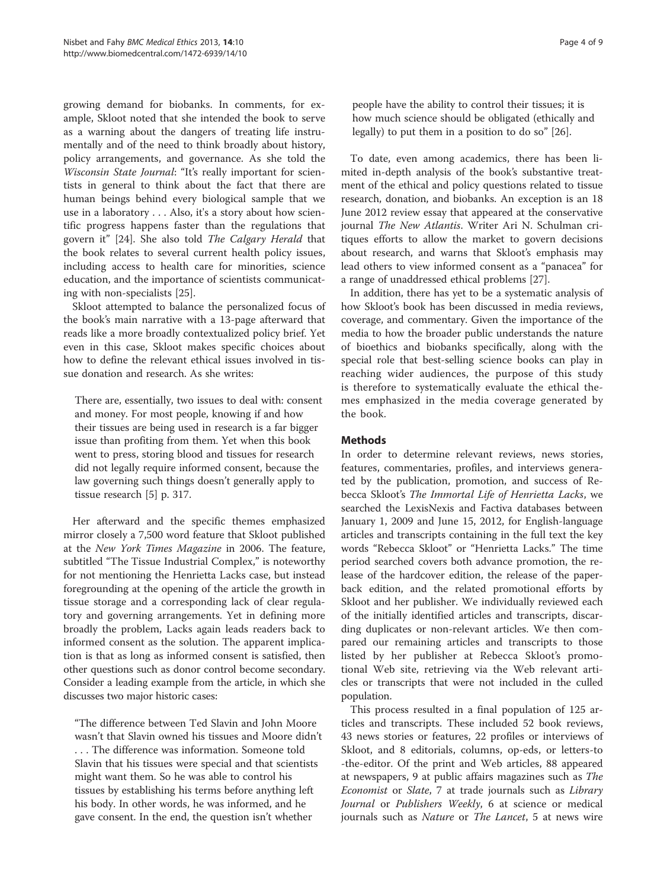growing demand for biobanks. In comments, for example, Skloot noted that she intended the book to serve as a warning about the dangers of treating life instrumentally and of the need to think broadly about history, policy arrangements, and governance. As she told the Wisconsin State Journal: "It's really important for scientists in general to think about the fact that there are human beings behind every biological sample that we use in a laboratory . . . Also, it's a story about how scientific progress happens faster than the regulations that govern it" [[24\]](#page-8-0). She also told The Calgary Herald that the book relates to several current health policy issues, including access to health care for minorities, science education, and the importance of scientists communicating with non-specialists [[25](#page-8-0)].

Skloot attempted to balance the personalized focus of the book's main narrative with a 13-page afterward that reads like a more broadly contextualized policy brief. Yet even in this case, Skloot makes specific choices about how to define the relevant ethical issues involved in tissue donation and research. As she writes:

There are, essentially, two issues to deal with: consent and money. For most people, knowing if and how their tissues are being used in research is a far bigger issue than profiting from them. Yet when this book went to press, storing blood and tissues for research did not legally require informed consent, because the law governing such things doesn't generally apply to tissue research [[5\]](#page-7-0) p. 317.

Her afterward and the specific themes emphasized mirror closely a 7,500 word feature that Skloot published at the New York Times Magazine in 2006. The feature, subtitled "The Tissue Industrial Complex," is noteworthy for not mentioning the Henrietta Lacks case, but instead foregrounding at the opening of the article the growth in tissue storage and a corresponding lack of clear regulatory and governing arrangements. Yet in defining more broadly the problem, Lacks again leads readers back to informed consent as the solution. The apparent implication is that as long as informed consent is satisfied, then other questions such as donor control become secondary. Consider a leading example from the article, in which she discusses two major historic cases:

"The difference between Ted Slavin and John Moore wasn't that Slavin owned his tissues and Moore didn't . . . The difference was information. Someone told Slavin that his tissues were special and that scientists might want them. So he was able to control his tissues by establishing his terms before anything left his body. In other words, he was informed, and he gave consent. In the end, the question isn't whether

people have the ability to control their tissues; it is how much science should be obligated (ethically and legally) to put them in a position to do so" [\[26](#page-8-0)].

To date, even among academics, there has been limited in-depth analysis of the book's substantive treatment of the ethical and policy questions related to tissue research, donation, and biobanks. An exception is an 18 June 2012 review essay that appeared at the conservative journal The New Atlantis. Writer Ari N. Schulman critiques efforts to allow the market to govern decisions about research, and warns that Skloot's emphasis may lead others to view informed consent as a "panacea" for a range of unaddressed ethical problems [\[27\]](#page-8-0).

In addition, there has yet to be a systematic analysis of how Skloot's book has been discussed in media reviews, coverage, and commentary. Given the importance of the media to how the broader public understands the nature of bioethics and biobanks specifically, along with the special role that best-selling science books can play in reaching wider audiences, the purpose of this study is therefore to systematically evaluate the ethical themes emphasized in the media coverage generated by the book.

## **Methods**

In order to determine relevant reviews, news stories, features, commentaries, profiles, and interviews generated by the publication, promotion, and success of Rebecca Skloot's The Immortal Life of Henrietta Lacks, we searched the LexisNexis and Factiva databases between January 1, 2009 and June 15, 2012, for English-language articles and transcripts containing in the full text the key words "Rebecca Skloot" or "Henrietta Lacks." The time period searched covers both advance promotion, the release of the hardcover edition, the release of the paperback edition, and the related promotional efforts by Skloot and her publisher. We individually reviewed each of the initially identified articles and transcripts, discarding duplicates or non-relevant articles. We then compared our remaining articles and transcripts to those listed by her publisher at Rebecca Skloot's promotional Web site, retrieving via the Web relevant articles or transcripts that were not included in the culled population.

This process resulted in a final population of 125 articles and transcripts. These included 52 book reviews, 43 news stories or features, 22 profiles or interviews of Skloot, and 8 editorials, columns, op-eds, or letters-to -the-editor. Of the print and Web articles, 88 appeared at newspapers, 9 at public affairs magazines such as The Economist or Slate, 7 at trade journals such as Library Journal or Publishers Weekly, 6 at science or medical journals such as Nature or The Lancet, 5 at news wire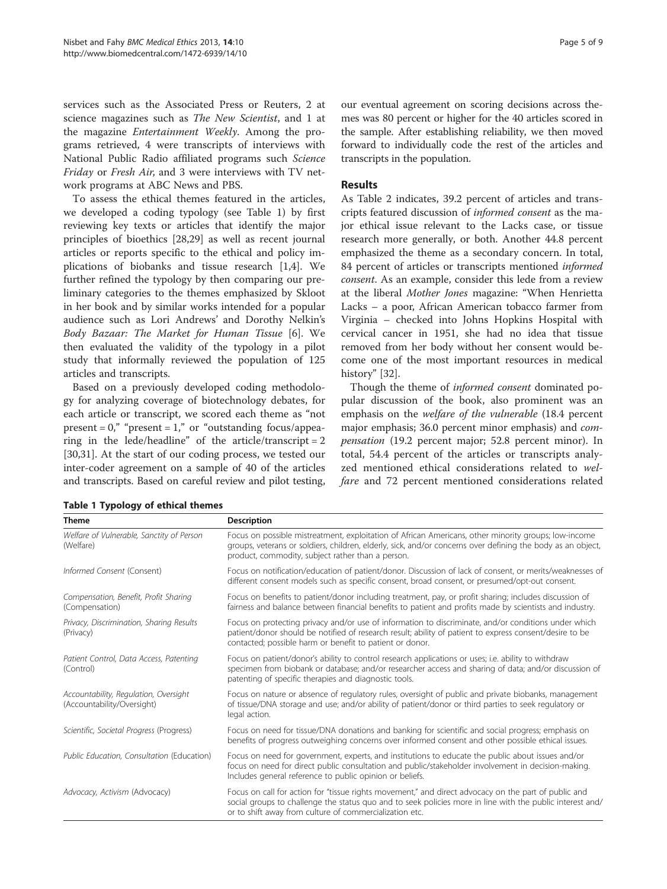services such as the Associated Press or Reuters, 2 at science magazines such as The New Scientist, and 1 at the magazine Entertainment Weekly. Among the programs retrieved, 4 were transcripts of interviews with National Public Radio affiliated programs such Science Friday or Fresh Air, and 3 were interviews with TV network programs at ABC News and PBS.

To assess the ethical themes featured in the articles, we developed a coding typology (see Table 1) by first reviewing key texts or articles that identify the major principles of bioethics [\[28,29\]](#page-8-0) as well as recent journal articles or reports specific to the ethical and policy implications of biobanks and tissue research [[1,4\]](#page-7-0). We further refined the typology by then comparing our preliminary categories to the themes emphasized by Skloot in her book and by similar works intended for a popular audience such as Lori Andrews' and Dorothy Nelkin's Body Bazaar: The Market for Human Tissue [[6\]](#page-7-0). We then evaluated the validity of the typology in a pilot study that informally reviewed the population of 125 articles and transcripts.

Based on a previously developed coding methodology for analyzing coverage of biotechnology debates, for each article or transcript, we scored each theme as "not present =  $0$ ," "present =  $1$ ," or "outstanding focus/appearing in the lede/headline" of the article/transcript =  $2$ [[30,31\]](#page-8-0). At the start of our coding process, we tested our inter-coder agreement on a sample of 40 of the articles and transcripts. Based on careful review and pilot testing, our eventual agreement on scoring decisions across themes was 80 percent or higher for the 40 articles scored in the sample. After establishing reliability, we then moved forward to individually code the rest of the articles and transcripts in the population.

## Results

As Table [2](#page-5-0) indicates, 39.2 percent of articles and transcripts featured discussion of informed consent as the major ethical issue relevant to the Lacks case, or tissue research more generally, or both. Another 44.8 percent emphasized the theme as a secondary concern. In total, 84 percent of articles or transcripts mentioned *informed* consent. As an example, consider this lede from a review at the liberal Mother Jones magazine: "When Henrietta Lacks – a poor, African American tobacco farmer from Virginia – checked into Johns Hopkins Hospital with cervical cancer in 1951, she had no idea that tissue removed from her body without her consent would become one of the most important resources in medical history" [\[32](#page-8-0)].

Though the theme of informed consent dominated popular discussion of the book, also prominent was an emphasis on the welfare of the vulnerable (18.4 percent major emphasis; 36.0 percent minor emphasis) and compensation (19.2 percent major; 52.8 percent minor). In total, 54.4 percent of the articles or transcripts analyzed mentioned ethical considerations related to welfare and 72 percent mentioned considerations related

| <b>Theme</b>                                                        | <b>Description</b>                                                                                                                                                                                                                                                           |  |  |  |  |
|---------------------------------------------------------------------|------------------------------------------------------------------------------------------------------------------------------------------------------------------------------------------------------------------------------------------------------------------------------|--|--|--|--|
| Welfare of Vulnerable, Sanctity of Person<br>(Welfare)              | Focus on possible mistreatment, exploitation of African Americans, other minority groups; low-income<br>groups, veterans or soldiers, children, elderly, sick, and/or concerns over defining the body as an object,<br>product, commodity, subject rather than a person.     |  |  |  |  |
| Informed Consent (Consent)                                          | Focus on notification/education of patient/donor. Discussion of lack of consent, or merits/weaknesses of<br>different consent models such as specific consent, broad consent, or presumed/opt-out consent.                                                                   |  |  |  |  |
| Compensation, Benefit, Profit Sharing<br>(Compensation)             | Focus on benefits to patient/donor including treatment, pay, or profit sharing; includes discussion of<br>fairness and balance between financial benefits to patient and profits made by scientists and industry.                                                            |  |  |  |  |
| Privacy, Discrimination, Sharing Results<br>(Privacy)               | Focus on protecting privacy and/or use of information to discriminate, and/or conditions under which<br>patient/donor should be notified of research result; ability of patient to express consent/desire to be<br>contacted; possible harm or benefit to patient or donor.  |  |  |  |  |
| Patient Control, Data Access, Patenting<br>(Control)                | Focus on patient/donor's ability to control research applications or uses; i.e. ability to withdraw<br>specimen from biobank or database; and/or researcher access and sharing of data; and/or discussion of<br>patenting of specific therapies and diagnostic tools.        |  |  |  |  |
| Accountability, Regulation, Oversight<br>(Accountability/Oversight) | Focus on nature or absence of regulatory rules, oversight of public and private biobanks, management<br>of tissue/DNA storage and use; and/or ability of patient/donor or third parties to seek regulatory or<br>legal action.                                               |  |  |  |  |
| Scientific, Societal Progress (Progress)                            | Focus on need for tissue/DNA donations and banking for scientific and social progress; emphasis on<br>benefits of progress outweighing concerns over informed consent and other possible ethical issues.                                                                     |  |  |  |  |
| Public Education, Consultation (Education)                          | Focus on need for government, experts, and institutions to educate the public about issues and/or<br>focus on need for direct public consultation and public/stakeholder involvement in decision-making.<br>Includes general reference to public opinion or beliefs.         |  |  |  |  |
| Advocacy, Activism (Advocacy)                                       | Focus on call for action for "tissue rights movement," and direct advocacy on the part of public and<br>social groups to challenge the status quo and to seek policies more in line with the public interest and/<br>or to shift away from culture of commercialization etc. |  |  |  |  |

### Table 1 Typology of ethical themes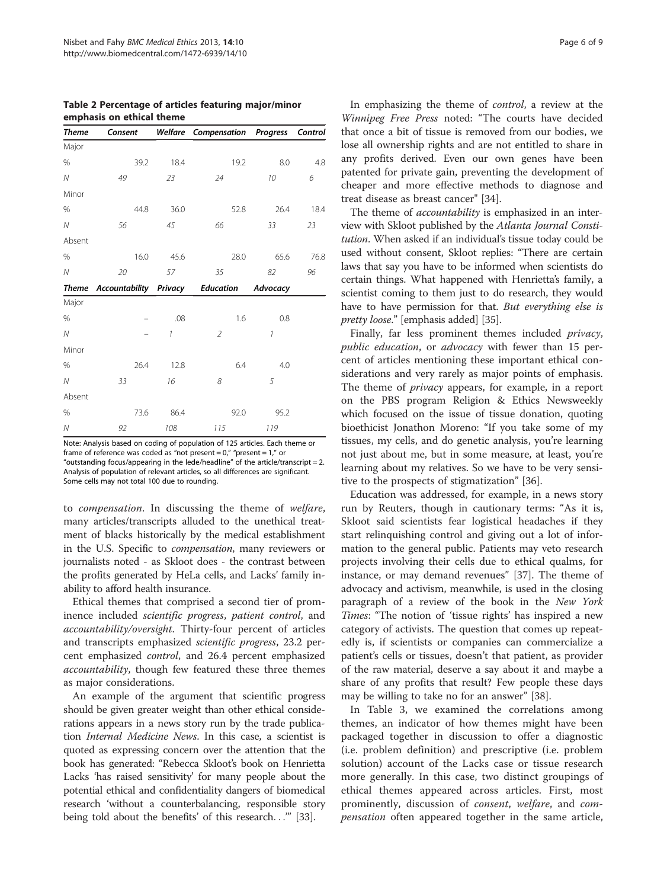<span id="page-5-0"></span>

| Table 2 Percentage of articles featuring major/minor |  |
|------------------------------------------------------|--|
| emphasis on ethical theme                            |  |

| <b>Theme</b>   | Consent |      |               |                                         |      | Welfare Compensation Progress Control |      |  |
|----------------|---------|------|---------------|-----------------------------------------|------|---------------------------------------|------|--|
| Major          |         |      |               |                                         |      |                                       |      |  |
| %              |         | 39.2 | 18.4          |                                         | 19.2 | 8.0                                   | 4.8  |  |
| N              | 49      |      | 23            | 24                                      |      | 10                                    | 6    |  |
| Minor          |         |      |               |                                         |      |                                       |      |  |
| %              |         | 44.8 | 36.0          |                                         | 52.8 | 26.4                                  | 18.4 |  |
| Ν              | 56      |      | 45            | 66                                      |      | 33                                    | 23   |  |
| Absent         |         |      |               |                                         |      |                                       |      |  |
| $\%$           |         | 16.0 | 45.6          |                                         | 28.0 | 65.6                                  | 76.8 |  |
| Ν              | 20      |      | 57            | 35                                      |      | 82                                    | 96   |  |
| Theme          |         |      |               | <b>Accountability Privacy Education</b> |      | Advocacy                              |      |  |
| Major          |         |      |               |                                         |      |                                       |      |  |
| $\%$           |         |      | .08           |                                         | 1.6  | 0.8                                   |      |  |
| Ν              |         |      | $\mathcal{I}$ | $\overline{2}$                          |      | $\mathcal{I}$                         |      |  |
| Minor          |         |      |               |                                         |      |                                       |      |  |
| %              |         | 26.4 | 12.8          |                                         | 6.4  | 4.0                                   |      |  |
| $\overline{N}$ | 33      |      | 16            | 8                                       |      | 5                                     |      |  |
| Absent         |         |      |               |                                         |      |                                       |      |  |
| %              |         | 73.6 | 86.4          |                                         | 92.0 | 95.2                                  |      |  |
| N              | 92      |      | 108           | 115                                     |      | 119                                   |      |  |

Note: Analysis based on coding of population of 125 articles. Each theme or frame of reference was coded as "not present =  $0$ ," "present =  $1$ ," or "outstanding focus/appearing in the lede/headline" of the article/transcript = 2. Analysis of population of relevant articles, so all differences are significant. Some cells may not total 100 due to rounding.

to compensation. In discussing the theme of welfare, many articles/transcripts alluded to the unethical treatment of blacks historically by the medical establishment in the U.S. Specific to compensation, many reviewers or journalists noted - as Skloot does - the contrast between the profits generated by HeLa cells, and Lacks' family inability to afford health insurance.

Ethical themes that comprised a second tier of prominence included scientific progress, patient control, and accountability/oversight. Thirty-four percent of articles and transcripts emphasized scientific progress, 23.2 percent emphasized control, and 26.4 percent emphasized accountability, though few featured these three themes as major considerations.

An example of the argument that scientific progress should be given greater weight than other ethical considerations appears in a news story run by the trade publication Internal Medicine News. In this case, a scientist is quoted as expressing concern over the attention that the book has generated: "Rebecca Skloot's book on Henrietta Lacks 'has raised sensitivity' for many people about the potential ethical and confidentiality dangers of biomedical research 'without a counterbalancing, responsible story being told about the benefits' of this research...'" [\[33\]](#page-8-0).

In emphasizing the theme of control, a review at the Winnipeg Free Press noted: "The courts have decided that once a bit of tissue is removed from our bodies, we lose all ownership rights and are not entitled to share in any profits derived. Even our own genes have been patented for private gain, preventing the development of cheaper and more effective methods to diagnose and treat disease as breast cancer" [[34\]](#page-8-0).

The theme of *accountability* is emphasized in an interview with Skloot published by the Atlanta Journal Constitution. When asked if an individual's tissue today could be used without consent, Skloot replies: "There are certain laws that say you have to be informed when scientists do certain things. What happened with Henrietta's family, a scientist coming to them just to do research, they would have to have permission for that. But everything else is pretty loose." [emphasis added] [\[35\]](#page-8-0).

Finally, far less prominent themes included *privacy*, public education, or advocacy with fewer than 15 percent of articles mentioning these important ethical considerations and very rarely as major points of emphasis. The theme of *privacy* appears, for example, in a report on the PBS program Religion & Ethics Newsweekly which focused on the issue of tissue donation, quoting bioethicist Jonathon Moreno: "If you take some of my tissues, my cells, and do genetic analysis, you're learning not just about me, but in some measure, at least, you're learning about my relatives. So we have to be very sensitive to the prospects of stigmatization" [\[36](#page-8-0)].

Education was addressed, for example, in a news story run by Reuters, though in cautionary terms: "As it is, Skloot said scientists fear logistical headaches if they start relinquishing control and giving out a lot of information to the general public. Patients may veto research projects involving their cells due to ethical qualms, for instance, or may demand revenues" [[37\]](#page-8-0). The theme of advocacy and activism, meanwhile, is used in the closing paragraph of a review of the book in the New York Times: "The notion of 'tissue rights' has inspired a new category of activists. The question that comes up repeatedly is, if scientists or companies can commercialize a patient's cells or tissues, doesn't that patient, as provider of the raw material, deserve a say about it and maybe a share of any profits that result? Few people these days may be willing to take no for an answer" [\[38](#page-8-0)].

In Table [3](#page-6-0), we examined the correlations among themes, an indicator of how themes might have been packaged together in discussion to offer a diagnostic (i.e. problem definition) and prescriptive (i.e. problem solution) account of the Lacks case or tissue research more generally. In this case, two distinct groupings of ethical themes appeared across articles. First, most prominently, discussion of consent, welfare, and compensation often appeared together in the same article,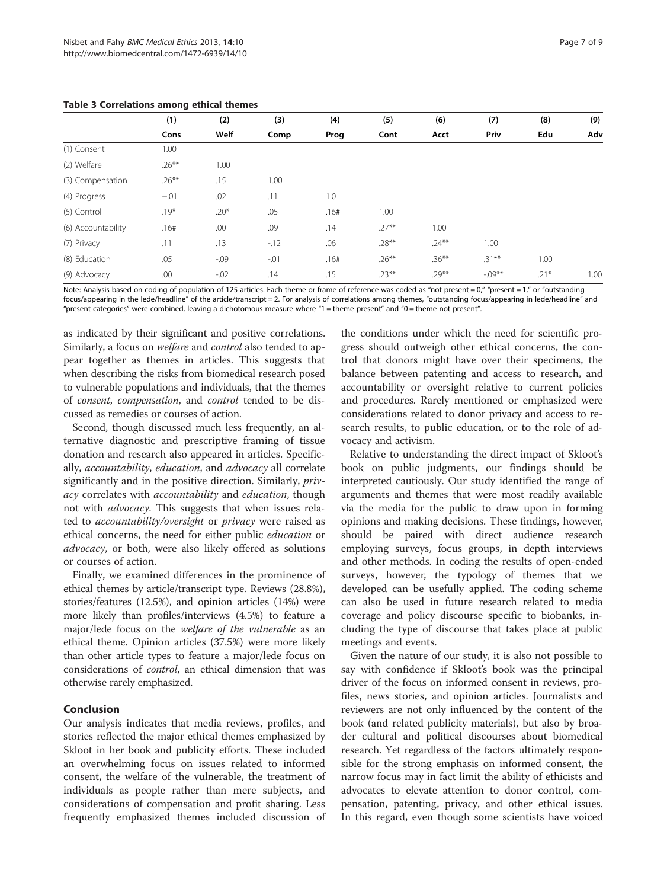|                    | (1)<br>Cons |         | (2)    | (3)  | (4)<br>Prog | (5)<br>Cont | (6)<br>Acct | (7)<br>Priv | (8)<br>Edu | (9) |
|--------------------|-------------|---------|--------|------|-------------|-------------|-------------|-------------|------------|-----|
|                    |             |         | Welf   | Comp |             |             |             |             |            | Adv |
| (1) Consent        | 1.00        |         |        |      |             |             |             |             |            |     |
| (2) Welfare        | $.26***$    | 1.00    |        |      |             |             |             |             |            |     |
| (3) Compensation   | $.26***$    | .15     | 1.00   |      |             |             |             |             |            |     |
| (4) Progress       | $-.01$      | .02     | .11    | 1.0  |             |             |             |             |            |     |
| (5) Control        | $.19*$      | $.20*$  | .05    | .16# | 1.00        |             |             |             |            |     |
| (6) Accountability | .16#        | .00     | .09    | .14  | $.27***$    | 1.00        |             |             |            |     |
| (7) Privacy        | .11         | .13     | $-12$  | .06  | $.28***$    | $.24***$    | 1.00        |             |            |     |
| (8) Education      | .05         | $-0.09$ | $-.01$ | .16# | $.26***$    | $.36***$    | $.31***$    | 1.00        |            |     |
| (9) Advocacy       | .00         | $-0.02$ | .14    | .15  | $.23***$    | $.29***$    | $-0.09***$  | $.21*$      | 1.00       |     |

<span id="page-6-0"></span>Table 3 Correlations among ethical themes

Note: Analysis based on coding of population of 125 articles. Each theme or frame of reference was coded as "not present = 0," "present = 1," or "outstanding focus/appearing in the lede/headline" of the article/transcript = 2. For analysis of correlations among themes, "outstanding focus/appearing in lede/headline" and "present categories" were combined, leaving a dichotomous measure where "1 = theme present" and "0 = theme not present".

as indicated by their significant and positive correlations. Similarly, a focus on welfare and control also tended to appear together as themes in articles. This suggests that when describing the risks from biomedical research posed to vulnerable populations and individuals, that the themes of consent, compensation, and control tended to be discussed as remedies or courses of action.

Second, though discussed much less frequently, an alternative diagnostic and prescriptive framing of tissue donation and research also appeared in articles. Specifically, accountability, education, and advocacy all correlate significantly and in the positive direction. Similarly, *priv*acy correlates with accountability and education, though not with advocacy. This suggests that when issues related to accountability/oversight or privacy were raised as ethical concerns, the need for either public education or advocacy, or both, were also likely offered as solutions or courses of action.

Finally, we examined differences in the prominence of ethical themes by article/transcript type. Reviews (28.8%), stories/features (12.5%), and opinion articles (14%) were more likely than profiles/interviews (4.5%) to feature a major/lede focus on the welfare of the vulnerable as an ethical theme. Opinion articles (37.5%) were more likely than other article types to feature a major/lede focus on considerations of control, an ethical dimension that was otherwise rarely emphasized.

## Conclusion

Our analysis indicates that media reviews, profiles, and stories reflected the major ethical themes emphasized by Skloot in her book and publicity efforts. These included an overwhelming focus on issues related to informed consent, the welfare of the vulnerable, the treatment of individuals as people rather than mere subjects, and considerations of compensation and profit sharing. Less frequently emphasized themes included discussion of

the conditions under which the need for scientific progress should outweigh other ethical concerns, the control that donors might have over their specimens, the balance between patenting and access to research, and accountability or oversight relative to current policies and procedures. Rarely mentioned or emphasized were considerations related to donor privacy and access to research results, to public education, or to the role of advocacy and activism.

Relative to understanding the direct impact of Skloot's book on public judgments, our findings should be interpreted cautiously. Our study identified the range of arguments and themes that were most readily available via the media for the public to draw upon in forming opinions and making decisions. These findings, however, should be paired with direct audience research employing surveys, focus groups, in depth interviews and other methods. In coding the results of open-ended surveys, however, the typology of themes that we developed can be usefully applied. The coding scheme can also be used in future research related to media coverage and policy discourse specific to biobanks, including the type of discourse that takes place at public meetings and events.

Given the nature of our study, it is also not possible to say with confidence if Skloot's book was the principal driver of the focus on informed consent in reviews, profiles, news stories, and opinion articles. Journalists and reviewers are not only influenced by the content of the book (and related publicity materials), but also by broader cultural and political discourses about biomedical research. Yet regardless of the factors ultimately responsible for the strong emphasis on informed consent, the narrow focus may in fact limit the ability of ethicists and advocates to elevate attention to donor control, compensation, patenting, privacy, and other ethical issues. In this regard, even though some scientists have voiced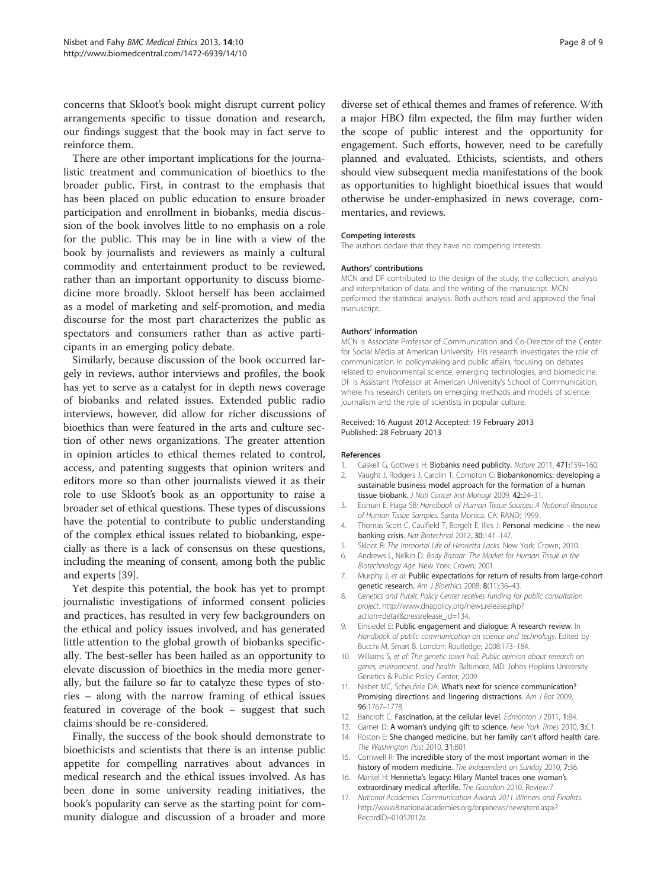<span id="page-7-0"></span>concerns that Skloot's book might disrupt current policy arrangements specific to tissue donation and research, our findings suggest that the book may in fact serve to reinforce them.

There are other important implications for the journalistic treatment and communication of bioethics to the broader public. First, in contrast to the emphasis that has been placed on public education to ensure broader participation and enrollment in biobanks, media discussion of the book involves little to no emphasis on a role for the public. This may be in line with a view of the book by journalists and reviewers as mainly a cultural commodity and entertainment product to be reviewed, rather than an important opportunity to discuss biomedicine more broadly. Skloot herself has been acclaimed as a model of marketing and self-promotion, and media discourse for the most part characterizes the public as spectators and consumers rather than as active participants in an emerging policy debate.

Similarly, because discussion of the book occurred largely in reviews, author interviews and profiles, the book has yet to serve as a catalyst for in depth news coverage of biobanks and related issues. Extended public radio interviews, however, did allow for richer discussions of bioethics than were featured in the arts and culture section of other news organizations. The greater attention in opinion articles to ethical themes related to control, access, and patenting suggests that opinion writers and editors more so than other journalists viewed it as their role to use Skloot's book as an opportunity to raise a broader set of ethical questions. These types of discussions have the potential to contribute to public understanding of the complex ethical issues related to biobanking, especially as there is a lack of consensus on these questions, including the meaning of consent, among both the public and experts [[39](#page-8-0)].

Yet despite this potential, the book has yet to prompt journalistic investigations of informed consent policies and practices, has resulted in very few backgrounders on the ethical and policy issues involved, and has generated little attention to the global growth of biobanks specifically. The best-seller has been hailed as an opportunity to elevate discussion of bioethics in the media more generally, but the failure so far to catalyze these types of stories – along with the narrow framing of ethical issues featured in coverage of the book – suggest that such claims should be re-considered.

Finally, the success of the book should demonstrate to bioethicists and scientists that there is an intense public appetite for compelling narratives about advances in medical research and the ethical issues involved. As has been done in some university reading initiatives, the book's popularity can serve as the starting point for community dialogue and discussion of a broader and more diverse set of ethical themes and frames of reference. With a major HBO film expected, the film may further widen the scope of public interest and the opportunity for engagement. Such efforts, however, need to be carefully planned and evaluated. Ethicists, scientists, and others should view subsequent media manifestations of the book as opportunities to highlight bioethical issues that would otherwise be under-emphasized in news coverage, commentaries, and reviews.

#### Competing interests

The authors declare that they have no competing interests.

#### Authors' contributions

MCN and DF contributed to the design of the study, the collection, analysis and interpretation of data, and the writing of the manuscript. MCN performed the statistical analysis. Both authors read and approved the final manuscript.

#### Authors' information

MCN is Associate Professor of Communication and Co-Director of the Center for Social Media at American University. His research investigates the role of communication in policymaking and public affairs, focusing on debates related to environmental science, emerging technologies, and biomedicine. DF is Assistant Professor at American University's School of Communication, where his research centers on emerging methods and models of science journalism and the role of scientists in popular culture.

#### Received: 16 August 2012 Accepted: 19 February 2013 Published: 28 February 2013

#### References

- 1. Gaskell G, Gottweis H: Biobanks need publicity. Nature 2011, 471:159-160.
- 2. Vaught J, Rodgers J, Carolin T, Compton C: Biobankonomics: developing a sustainable business model approach for the formation of a human tissue biobank. J Natl Cancer Inst Monogr 2009, 42:24–31.
- 3. Eisman E, Haga SB: Handbook of Human Tissue Sources: A National Resource of Human Tissue Samples. Santa Monica, CA: RAND; 1999.
- 4. Thomas Scott C, Caulfield T, Borgelt E, Illes J: Personal medicine the new banking crisis. Nat Biotechnol 2012, 30:141–147.
- 5. Skloot R: The Immortal Life of Henrietta Lacks. New York: Crown; 2010.
- 6. Andrews L, Nelkin D: Body Bazaar: The Market for Human Tissue in the Biotechnology Age. New York: Crown; 2001.
- 7. Murphy J, et al: Public expectations for return of results from large-cohort genetic research. Am J Bioethics 2008, 8(11):36-43.
- 8. Genetics and Public Policy Center receives funding for public consultation project. [http://www.dnapolicy.org/news.release.php?](http://www.dnapolicy.org/news.release.php?action=detail&pressrelease_id=134) [action=detail&pressrelease\\_id=134](http://www.dnapolicy.org/news.release.php?action=detail&pressrelease_id=134).
- 9. Einsiedel E: Public engagement and dialogue: A research review. In Handbook of public communication on science and technology. Edited by Bucchi M, Smart B. London: Routledge; 2008:173–184.
- 10. Williams S, et al: The genetic town hall: Public opinion about research on genes, environment, and health. Baltimore, MD: Johns Hopkins University Genetics & Public Policy Center; 2009.
- 11. Nisbet MC, Scheufele DA: What's next for science communication? Promising directions and lingering distractions. Am J Bot 2009, 96:1767–1778.
- 12. Bancroft C: Fascination, at the cellular level. Edmonton J 2011, 1:B4.
- 13. Garner D: A woman's undying gift to science. New York Times 2010, 3:C1.
- 14. Roston E: She changed medicine, but her family can't afford health care. The Washington Post 2010, 31:B01.
- 15. Cornwell R: The incredible story of the most important woman in the history of modern medicine. The Independent on Sunday 2010, 7:36.
- 16. Mantel H: Henrietta's legacy: Hilary Mantel traces one woman's extraordinary medical afterlife. The Guardian 2010. Review:7
- 17. National Academies Communication Awards 2011 Winners and Finalists. [http://www8.nationalacademies.org/onpinews/newsitem.aspx?](http://www8.nationalacademies.org/onpinews/newsitem.aspx?RecordID=01052012a) [RecordID=01052012a](http://www8.nationalacademies.org/onpinews/newsitem.aspx?RecordID=01052012a).